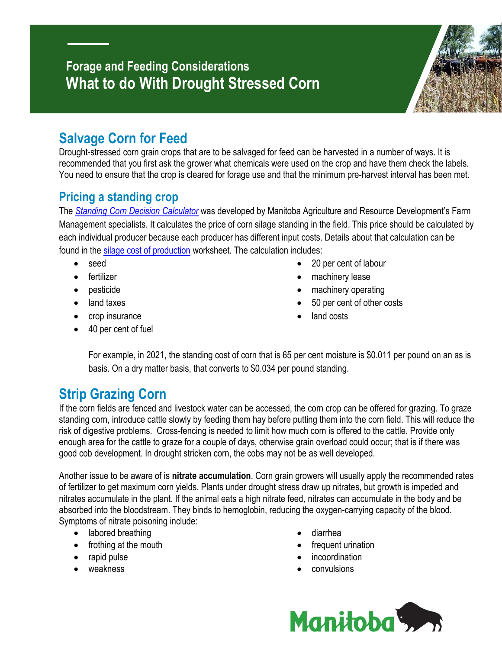## **Forage and Feeding Considerations What to do With Drought Stressed Corn**



# **Salvage Corn for Feed**

Drought-stressed corn grain crops that are to be salvaged for feed can be harvested in a number of ways. It is recommended that you first ask the grower what chemicals were used on the crop and have them check the labels. You need to ensure that the crop is cleared for forage use and that the minimum pre-harvest interval has been met.

### **Pricing a standing crop**

The *[Standing Corn Decision Calculator](https://www.gov.mb.ca/agriculture/farm-management/production-economics/cost-of-production.html)* was developed by Manitoba Agriculture and Resource Development's Farm Management specialists. It calculates the price of corn silage standing in the field. This price should be calculated by each individual producer because each producer has different input costs. Details about that calculation can be found in the [silage cost of production](https://www.gov.mb.ca/agriculture/farm-management/production-economics/cost-of-production.html) worksheet. The calculation includes:

- seed
- **•** fertilizer
- pesticide
- land taxes
- crop insurance
- 40 per cent of fuel
- 20 per cent of labour
- machinery lease
- machinery operating
- 50 per cent of other costs
- land costs

For example, in 2021, the standing cost of corn that is 65 per cent moisture is \$0.011 per pound on an as is basis. On a dry matter basis, that converts to \$0.034 per pound standing.

# **Strip Grazing Corn**

If the corn fields are fenced and livestock water can be accessed, the corn crop can be offered for grazing. To graze standing corn, introduce cattle slowly by feeding them hay before putting them into the corn field. This will reduce the risk of digestive problems. Cross-fencing is needed to limit how much corn is offered to the cattle. Provide only enough area for the cattle to graze for a couple of days, otherwise grain overload could occur; that is if there was good cob development. In drought stricken corn, the cobs may not be as well developed.

Another issue to be aware of is **nitrate accumulation**. Corn grain growers will usually apply the recommended rates of fertilizer to get maximum corn yields. Plants under drought stress draw up nitrates, but growth is impeded and nitrates accumulate in the plant. If the animal eats a high nitrate feed, nitrates can accumulate in the body and be absorbed into the bloodstream. They binds to hemoglobin, reducing the oxygen-carrying capacity of the blood. Symptoms of nitrate poisoning include:

- labored breathing
- frothing at the mouth
- rapid pulse
- weakness
- diarrhea
- frequent urination
- incoordination
- convulsions

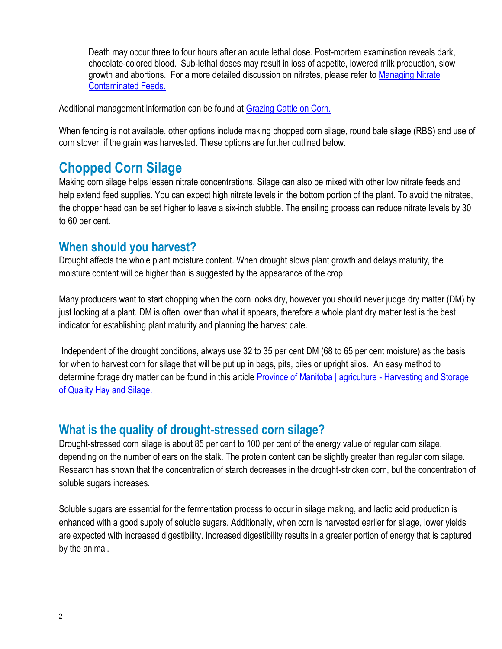Death may occur three to four hours after an acute lethal dose. Post-mortem examination reveals dark, chocolate-colored blood. Sub-lethal doses may result in loss of appetite, lowered milk production, slow growth and abortions. For a more detailed discussion on nitrates, please refer to [Managing Nitrate](https://www.manitoba.ca/agriculture/livestock/beef/pubs/managing-nitrate-contaminated-feeds.pdf)  [Contaminated Feeds.](https://www.manitoba.ca/agriculture/livestock/beef/pubs/managing-nitrate-contaminated-feeds.pdf)

Additional management information can be found at [Grazing Cattle on Corn.](https://www.gov.mb.ca/agriculture/crops/crop-management/forages/pubs/grazing_cattle_on_corn.pdf)

When fencing is not available, other options include making chopped corn silage, round bale silage (RBS) and use of corn stover, if the grain was harvested. These options are further outlined below.

### **Chopped Corn Silage**

Making corn silage helps lessen nitrate concentrations. Silage can also be mixed with other low nitrate feeds and help extend feed supplies. You can expect high nitrate levels in the bottom portion of the plant. To avoid the nitrates, the chopper head can be set higher to leave a six-inch stubble. The ensiling process can reduce nitrate levels by 30 to 60 per cent.

#### **When should you harvest?**

Drought affects the whole plant moisture content. When drought slows plant growth and delays maturity, the moisture content will be higher than is suggested by the appearance of the crop.

Many producers want to start chopping when the corn looks dry, however you should never judge dry matter (DM) by just looking at a plant. DM is often lower than what it appears, therefore a whole plant dry matter test is the best indicator for establishing plant maturity and planning the harvest date.

Independent of the drought conditions, always use 32 to 35 per cent DM (68 to 65 per cent moisture) as the basis for when to harvest corn for silage that will be put up in bags, pits, piles or upright silos. An easy method to determine forage dry matter can be found in this article **Province of Manitoba** | agriculture - Harvesting and Storage [of Quality Hay and Silage.](https://www.gov.mb.ca/agriculture/crops/crop-management/forages/harvesting-and-storage-of-quality-hay-and-silage.html)

#### **What is the quality of drought-stressed corn silage?**

Drought-stressed corn silage is about 85 per cent to 100 per cent of the energy value of regular corn silage, depending on the number of ears on the stalk. The protein content can be slightly greater than regular corn silage. Research has shown that the concentration of starch decreases in the drought-stricken corn, but the concentration of soluble sugars increases.

Soluble sugars are essential for the fermentation process to occur in silage making, and lactic acid production is enhanced with a good supply of soluble sugars. Additionally, when corn is harvested earlier for silage, lower yields are expected with increased digestibility. Increased digestibility results in a greater portion of energy that is captured by the animal.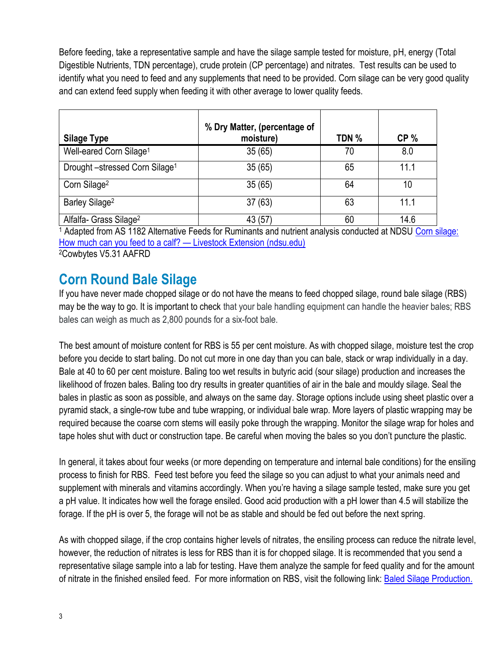Before feeding, take a representative sample and have the silage sample tested for moisture, pH, energy (Total Digestible Nutrients, TDN percentage), crude protein (CP percentage) and nitrates. Test results can be used to identify what you need to feed and any supplements that need to be provided. Corn silage can be very good quality and can extend feed supply when feeding it with other average to lower quality feeds.

|                                           | % Dry Matter, (percentage of |       |                 |
|-------------------------------------------|------------------------------|-------|-----------------|
| <b>Silage Type</b>                        | moisture)                    | TDN % | CP <sub>%</sub> |
| Well-eared Corn Silage <sup>1</sup>       | 35(65)                       | 70    | 8.0             |
| Drought-stressed Corn Silage <sup>1</sup> | 35(65)                       | 65    | 11.1            |
| Corn Silage <sup>2</sup>                  | 35(65)                       | 64    | 10              |
| Barley Silage <sup>2</sup>                | 37(63)                       | 63    | 11.1            |
| Alfalfa- Grass Silage <sup>2</sup>        | 43 (57                       | 60    | 14.6            |

<sup>1</sup> Adapted from AS 1182 Alternative Feeds for Ruminants and nutrient analysis conducted at NDSU Corn silage: [How much can you feed to a calf?](https://www.ag.ndsu.edu/livestockextension/corn-silage-how-much-can-you-feed-to-a-calf) — Livestock Extension (ndsu.edu) <sup>2</sup>Cowbytes V5.31 AAFRD

### **Corn Round Bale Silage**

If you have never made chopped silage or do not have the means to feed chopped silage, round bale silage (RBS) may be the way to go. It is important to check that your bale handling equipment can handle the heavier bales; RBS bales can weigh as much as 2,800 pounds for a six-foot bale.

The best amount of moisture content for RBS is 55 per cent moisture. As with chopped silage, moisture test the crop before you decide to start baling. Do not cut more in one day than you can bale, stack or wrap individually in a day. Bale at 40 to 60 per cent moisture. Baling too wet results in butyric acid (sour silage) production and increases the likelihood of frozen bales. Baling too dry results in greater quantities of air in the bale and mouldy silage. Seal the bales in plastic as soon as possible, and always on the same day. Storage options include using sheet plastic over a pyramid stack, a single-row tube and tube wrapping, or individual bale wrap. More layers of plastic wrapping may be required because the coarse corn stems will easily poke through the wrapping. Monitor the silage wrap for holes and tape holes shut with duct or construction tape. Be careful when moving the bales so you don't puncture the plastic.

In general, it takes about four weeks (or more depending on temperature and internal bale conditions) for the ensiling process to finish for RBS. Feed test before you feed the silage so you can adjust to what your animals need and supplement with minerals and vitamins accordingly. When you're having a silage sample tested, make sure you get a pH value. It indicates how well the forage ensiled. Good acid production with a pH lower than 4.5 will stabilize the forage. If the pH is over 5, the forage will not be as stable and should be fed out before the next spring.

As with chopped silage, if the crop contains higher levels of nitrates, the ensiling process can reduce the nitrate level, however, the reduction of nitrates is less for RBS than it is for chopped silage. It is recommended that you send a representative silage sample into a lab for testing. Have them analyze the sample for feed quality and for the amount of nitrate in the finished ensiled feed. For more information on RBS, visit the following link: [Baled Silage Production.](https://www.gov.mb.ca/agriculture/crops/crop-management/forages/pubs/baled_silage_production.pdf)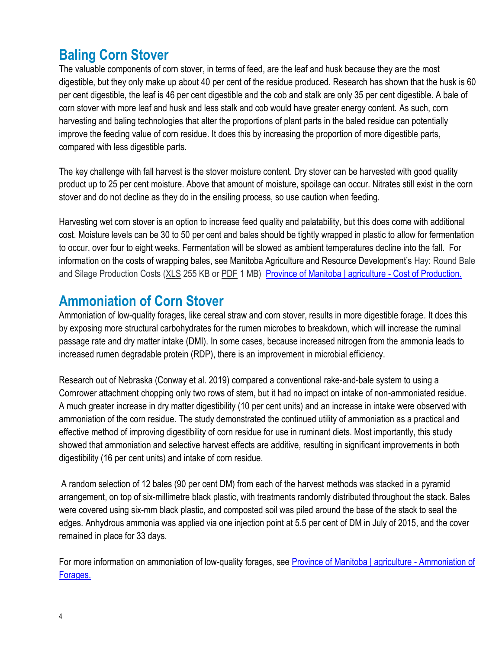### **Baling Corn Stover**

The valuable components of corn stover, in terms of feed, are the leaf and husk because they are the most digestible, but they only make up about 40 per cent of the residue produced. Research has shown that the husk is 60 per cent digestible, the leaf is 46 per cent digestible and the cob and stalk are only 35 per cent digestible. A bale of corn stover with more leaf and husk and less stalk and cob would have greater energy content. As such, corn harvesting and baling technologies that alter the proportions of plant parts in the baled residue can potentially improve the feeding value of corn residue. It does this by increasing the proportion of more digestible parts, compared with less digestible parts.

The key challenge with fall harvest is the stover moisture content. Dry stover can be harvested with good quality product up to 25 per cent moisture. Above that amount of moisture, spoilage can occur. Nitrates still exist in the corn stover and do not decline as they do in the ensiling process, so use caution when feeding.

Harvesting wet corn stover is an option to increase feed quality and palatability, but this does come with additional cost. Moisture levels can be 30 to 50 per cent and bales should be tightly wrapped in plastic to allow for fermentation to occur, over four to eight weeks. Fermentation will be slowed as ambient temperatures decline into the fall. For information on the costs of wrapping bales, see Manitoba Agriculture and Resource Development's Hay: Round Bale and Silage Production Costs [\(XLS](https://www.gov.mb.ca/agriculture/farm-management/production-economics/pubs/cop-forage-alfalfa-hay.xlsm) 255 KB or [PDF](https://www.gov.mb.ca/agriculture/farm-management/production-economics/pubs/cop-forage-alfalfa-hay.pdf) 1 MB) [Province of Manitoba | agriculture -](https://www.gov.mb.ca/agriculture/farm-management/production-economics/cost-of-production.html) Cost of Production.

### **Ammoniation of Corn Stover**

Ammoniation of low-quality forages, like cereal straw and corn stover, results in more digestible forage. It does this by exposing more structural carbohydrates for the rumen microbes to breakdown, which will increase the ruminal passage rate and dry matter intake (DMI). In some cases, because increased nitrogen from the ammonia leads to increased rumen degradable protein (RDP), there is an improvement in microbial efficiency.

Research out of Nebraska (Conway et al. 2019) compared a conventional rake-and-bale system to using a Cornrower attachment chopping only two rows of stem, but it had no impact on intake of non-ammoniated residue. A much greater increase in dry matter digestibility (10 per cent units) and an increase in intake were observed with ammoniation of the corn residue. The study demonstrated the continued utility of ammoniation as a practical and effective method of improving digestibility of corn residue for use in ruminant diets. Most importantly, this study showed that ammoniation and selective harvest effects are additive, resulting in significant improvements in both digestibility (16 per cent units) and intake of corn residue.

A random selection of 12 bales (90 per cent DM) from each of the harvest methods was stacked in a pyramid arrangement, on top of six-millimetre black plastic, with treatments randomly distributed throughout the stack. Bales were covered using six-mm black plastic, and composted soil was piled around the base of the stack to seal the edges. Anhydrous ammonia was applied via one injection point at 5.5 per cent of DM in July of 2015, and the cover remained in place for 33 days.

For more information on ammoniation of low-quality forages, see [Province of Manitoba | agriculture -](https://gov.mb.ca/agriculture/crops/crop-management/forages/print,ammoniation-of-forages.html) Ammoniation of [Forages.](https://gov.mb.ca/agriculture/crops/crop-management/forages/print,ammoniation-of-forages.html)